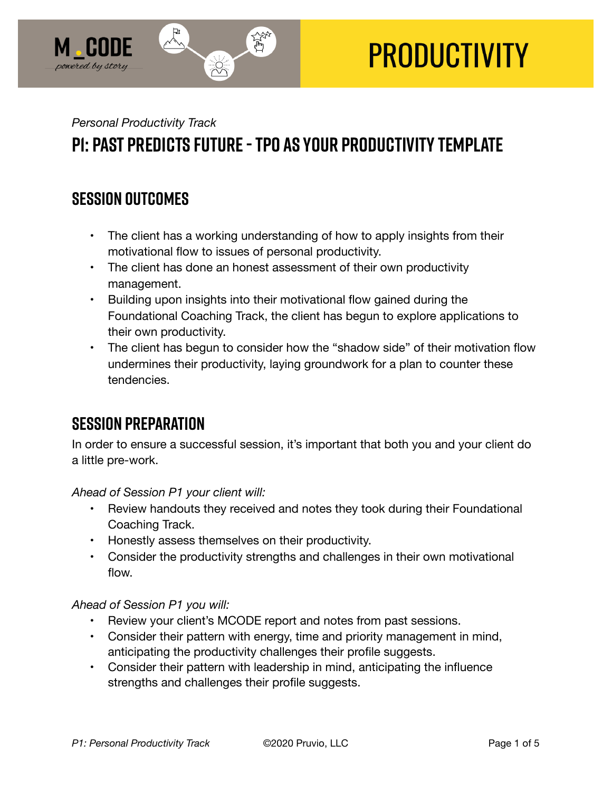

# **PRODUCTIVITY**

## *Personal Productivity Track*  **P1: Past Predicts Future - TPO as Your Productivity Template**

#### **SESSION OUTCOMES**

- The client has a working understanding of how to apply insights from their motivational flow to issues of personal productivity.
- The client has done an honest assessment of their own productivity management.
- Building upon insights into their motivational flow gained during the Foundational Coaching Track, the client has begun to explore applications to their own productivity.
- The client has begun to consider how the "shadow side" of their motivation flow undermines their productivity, laying groundwork for a plan to counter these tendencies.

## **SESSION PREPARATION**

In order to ensure a successful session, it's important that both you and your client do a little pre-work.

*Ahead of Session P1 your client will:* 

- Review handouts they received and notes they took during their Foundational Coaching Track.
- Honestly assess themselves on their productivity.
- Consider the productivity strengths and challenges in their own motivational flow.

#### *Ahead of Session P1 you will:*

- Review your client's MCODE report and notes from past sessions.
- Consider their pattern with energy, time and priority management in mind, anticipating the productivity challenges their profile suggests.
- Consider their pattern with leadership in mind, anticipating the influence strengths and challenges their profile suggests.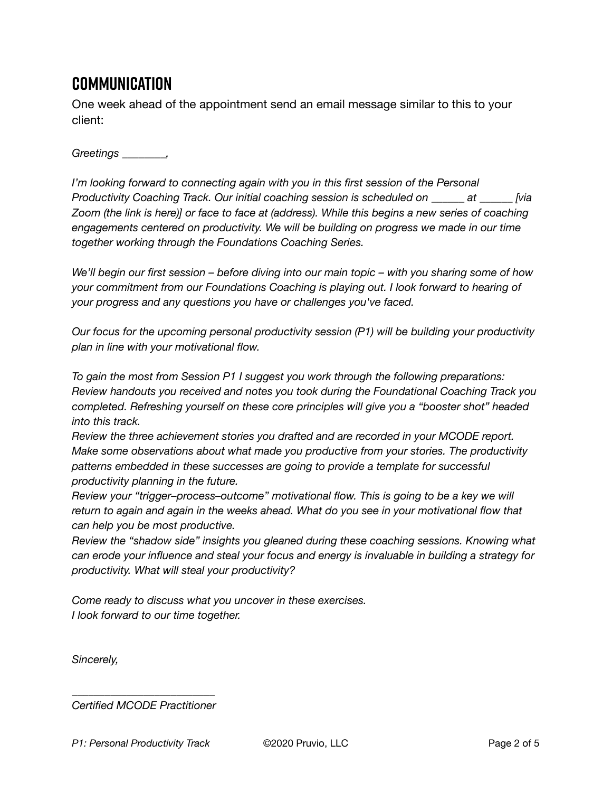## **Communication**

One week ahead of the appointment send an email message similar to this to your client:

*Greetings \_\_\_\_\_\_\_\_,* 

*I'm looking forward to connecting again with you in this first session of the Personal Productivity Coaching Track. Our initial coaching session is scheduled on \_\_\_\_\_\_ at \_\_\_\_\_\_ [via Zoom (the link is here)] or face to face at (address). While this begins a new series of coaching engagements centered on productivity. We will be building on progress we made in our time together working through the Foundations Coaching Series.* 

*We'll begin our first session – before diving into our main topic – with you sharing some of how your commitment from our Foundations Coaching is playing out. I look forward to hearing of your progress and any questions you have or challenges you've faced.* 

*Our focus for the upcoming personal productivity session (P1) will be building your productivity plan in line with your motivational flow.* 

*To gain the most from Session P1 I suggest you work through the following preparations: Review handouts you received and notes you took during the Foundational Coaching Track you completed. Refreshing yourself on these core principles will give you a "booster shot" headed into this track.* 

*Review the three achievement stories you drafted and are recorded in your MCODE report. Make some observations about what made you productive from your stories. The productivity patterns embedded in these successes are going to provide a template for successful productivity planning in the future.* 

*Review your "trigger–process–outcome" motivational flow. This is going to be a key we will return to again and again in the weeks ahead. What do you see in your motivational flow that can help you be most productive.* 

*Review the "shadow side" insights you gleaned during these coaching sessions. Knowing what can erode your influence and steal your focus and energy is invaluable in building a strategy for productivity. What will steal your productivity?* 

*Come ready to discuss what you uncover in these exercises. I look forward to our time together.* 

*Sincerely,* 

*\_\_\_\_\_\_\_\_\_\_\_\_\_\_\_\_\_\_\_\_\_\_\_\_\_\_ Certified MCODE Practitioner*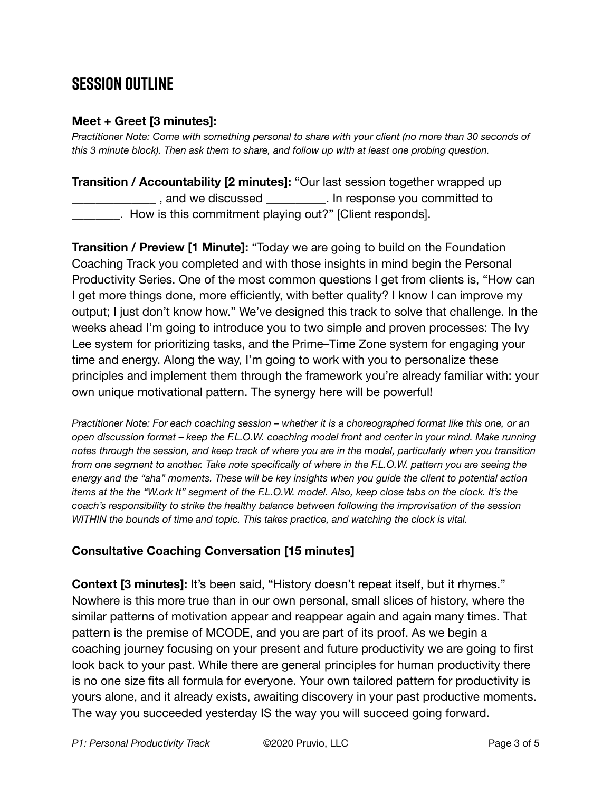## **SESSION OUTLINE**

#### **Meet + Greet [3 minutes]:**

*Practitioner Note: Come with something personal to share with your client (no more than 30 seconds of this 3 minute block). Then ask them to share, and follow up with at least one probing question.* 

**Transition / Accountability [2 minutes]:** "Our last session together wrapped up \_\_\_\_\_\_\_\_\_\_\_\_\_\_ , and we discussed \_\_\_\_\_\_\_\_\_\_. In response you committed to \_\_\_\_\_\_\_\_. How is this commitment playing out?" [Client responds].

**Transition / Preview [1 Minute]:** "Today we are going to build on the Foundation Coaching Track you completed and with those insights in mind begin the Personal Productivity Series. One of the most common questions I get from clients is, "How can I get more things done, more efficiently, with better quality? I know I can improve my output; I just don't know how." We've designed this track to solve that challenge. In the weeks ahead I'm going to introduce you to two simple and proven processes: The Ivy Lee system for prioritizing tasks, and the Prime–Time Zone system for engaging your time and energy. Along the way, I'm going to work with you to personalize these principles and implement them through the framework you're already familiar with: your own unique motivational pattern. The synergy here will be powerful!

*Practitioner Note: For each coaching session – whether it is a choreographed format like this one, or an open discussion format – keep the F.L.O.W. coaching model front and center in your mind. Make running notes through the session, and keep track of where you are in the model, particularly when you transition from one segment to another. Take note specifically of where in the F.L.O.W. pattern you are seeing the energy and the "aha" moments. These will be key insights when you guide the client to potential action items at the the "W.ork It" segment of the F.L.O.W. model. Also, keep close tabs on the clock. It's the coach's responsibility to strike the healthy balance between following the improvisation of the session WITHIN the bounds of time and topic. This takes practice, and watching the clock is vital.*

#### **Consultative Coaching Conversation [15 minutes]**

**Context [3 minutes]:** It's been said, "History doesn't repeat itself, but it rhymes." Nowhere is this more true than in our own personal, small slices of history, where the similar patterns of motivation appear and reappear again and again many times. That pattern is the premise of MCODE, and you are part of its proof. As we begin a coaching journey focusing on your present and future productivity we are going to first look back to your past. While there are general principles for human productivity there is no one size fits all formula for everyone. Your own tailored pattern for productivity is yours alone, and it already exists, awaiting discovery in your past productive moments. The way you succeeded yesterday IS the way you will succeed going forward.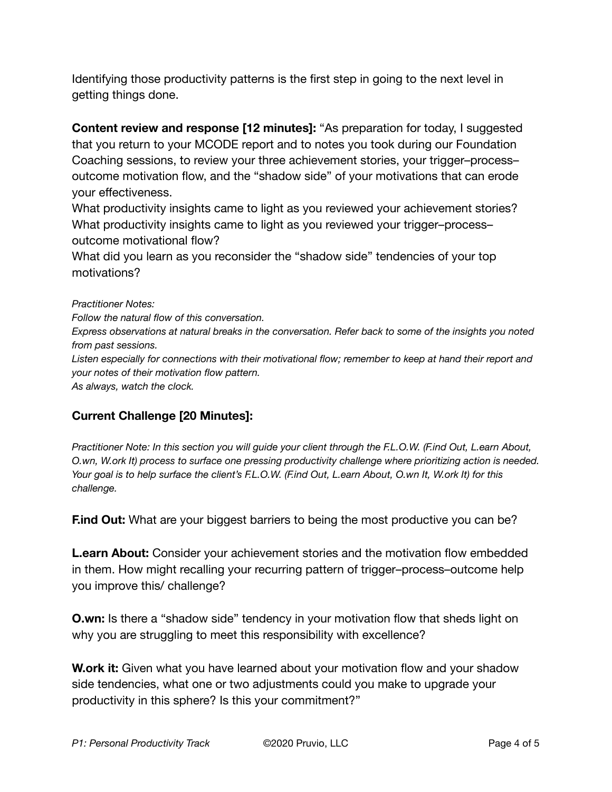Identifying those productivity patterns is the first step in going to the next level in getting things done.

**Content review and response [12 minutes]:** "As preparation for today, I suggested that you return to your MCODE report and to notes you took during our Foundation Coaching sessions, to review your three achievement stories, your trigger–process– outcome motivation flow, and the "shadow side" of your motivations that can erode your effectiveness.

What productivity insights came to light as you reviewed your achievement stories? What productivity insights came to light as you reviewed your trigger–process– outcome motivational flow?

What did you learn as you reconsider the "shadow side" tendencies of your top motivations?

*Practitioner Notes:* 

*Follow the natural flow of this conversation.* 

*Express observations at natural breaks in the conversation. Refer back to some of the insights you noted from past sessions.* 

*Listen especially for connections with their motivational flow; remember to keep at hand their report and your notes of their motivation flow pattern.* 

*As always, watch the clock.* 

#### **Current Challenge [20 Minutes]:**

*Practitioner Note: In this section you will guide your client through the F.L.O.W. (F.ind Out, L.earn About, O.wn, W.ork It) process to surface one pressing productivity challenge where prioritizing action is needed. Your goal is to help surface the client's F.L.O.W. (F.ind Out, L.earn About, O.wn It, W.ork It) for this challenge.*

**F.ind Out:** What are your biggest barriers to being the most productive you can be?

**L.earn About:** Consider your achievement stories and the motivation flow embedded in them. How might recalling your recurring pattern of trigger–process–outcome help you improve this/ challenge?

**O.wn:** Is there a "shadow side" tendency in your motivation flow that sheds light on why you are struggling to meet this responsibility with excellence?

**W.ork it:** Given what you have learned about your motivation flow and your shadow side tendencies, what one or two adjustments could you make to upgrade your productivity in this sphere? Is this your commitment?"